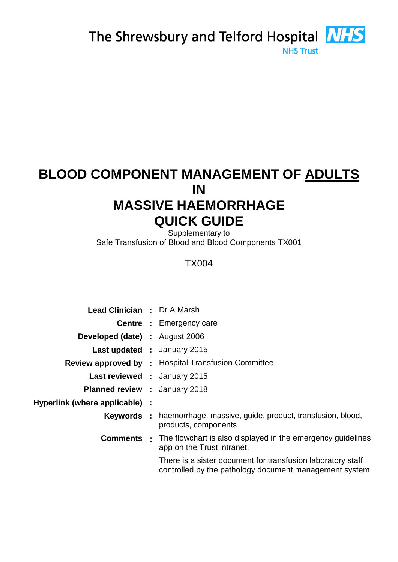The Shrewsbury and Telford Hospital **NHS** 

**NHS Trust** 

# **BLOOD COMPONENT MANAGEMENT OF ADULTS IN MASSIVE HAEMORRHAGE QUICK GUIDE**

Supplementary to Safe Transfusion of Blood and Blood Components TX001

## TX004

| <b>Lead Clinician : Dr A Marsh</b>    |                                                                                                                       |  |
|---------------------------------------|-----------------------------------------------------------------------------------------------------------------------|--|
|                                       | <b>Centre : Emergency care</b>                                                                                        |  |
| <b>Developed (date) :</b> August 2006 |                                                                                                                       |  |
| <b>Last updated : January 2015</b>    |                                                                                                                       |  |
|                                       | Review approved by : Hospital Transfusion Committee                                                                   |  |
| <b>Last reviewed : January 2015</b>   |                                                                                                                       |  |
| <b>Planned review : January 2018</b>  |                                                                                                                       |  |
| Hyperlink (where applicable) :        |                                                                                                                       |  |
|                                       | <b>Keywords</b> : haemorrhage, massive, guide, product, transfusion, blood,<br>products, components                   |  |
|                                       | <b>Comments</b> : The flowchart is also displayed in the emergency guidelines<br>app on the Trust intranet.           |  |
|                                       | There is a sister document for transfusion laboratory staff<br>controlled by the pathology document management system |  |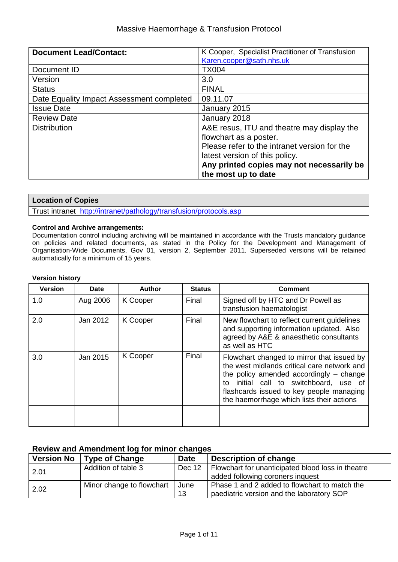#### Massive Haemorrhage & Transfusion Protocol

| <b>Document Lead/Contact:</b>             | K Cooper, Specialist Practitioner of Transfusion |
|-------------------------------------------|--------------------------------------------------|
|                                           | Karen.cooper@sath.nhs.uk                         |
| Document ID                               | <b>TX004</b>                                     |
| Version                                   | 3.0                                              |
| <b>Status</b>                             | <b>FINAL</b>                                     |
| Date Equality Impact Assessment completed | 09.11.07                                         |
| <b>Issue Date</b>                         | January 2015                                     |
| <b>Review Date</b>                        | January 2018                                     |
| <b>Distribution</b>                       | A&E resus, ITU and theatre may display the       |
|                                           | flowchart as a poster.                           |
|                                           | Please refer to the intranet version for the     |
|                                           | latest version of this policy.                   |
|                                           | Any printed copies may not necessarily be        |
|                                           | the most up to date                              |

#### **Location of Copies**

Trust intranet <http://intranet/pathology/transfusion/protocols.asp>

#### **Control and Archive arrangements:**

Documentation control including archiving will be maintained in accordance with the Trusts mandatory guidance on policies and related documents, as stated in the Policy for the Development and Management of Organisation-Wide Documents, Gov 01, version 2, September 2011. Superseded versions will be retained automatically for a minimum of 15 years.

#### **Version history**

| <b>Version</b> | <b>Date</b> | Author   | <b>Status</b> | <b>Comment</b>                                                                                                                                                                                                                                                               |
|----------------|-------------|----------|---------------|------------------------------------------------------------------------------------------------------------------------------------------------------------------------------------------------------------------------------------------------------------------------------|
| 1.0            | Aug 2006    | K Cooper | Final         | Signed off by HTC and Dr Powell as<br>transfusion haematologist                                                                                                                                                                                                              |
| 2.0            | Jan 2012    | K Cooper | Final         | New flowchart to reflect current guidelines<br>and supporting information updated. Also<br>agreed by A&E & anaesthetic consultants<br>as well as HTC                                                                                                                         |
| 3.0            | Jan 2015    | K Cooper | Final         | Flowchart changed to mirror that issued by<br>the west midlands critical care network and<br>the policy amended accordingly $-$ change<br>initial call to switchboard, use of<br>to<br>flashcards issued to key people managing<br>the haemorrhage which lists their actions |
|                |             |          |               |                                                                                                                                                                                                                                                                              |
|                |             |          |               |                                                                                                                                                                                                                                                                              |

#### **Review and Amendment log for minor changes**

| <b>Version No</b> | <b>Type of Change</b>     | <b>Date</b> | Description of change                             |
|-------------------|---------------------------|-------------|---------------------------------------------------|
| 2.01              | Addition of table 3       | Dec 12      | Flowchart for unanticipated blood loss in theatre |
|                   |                           |             | added following coroners inquest                  |
| 2.02              | Minor change to flowchart | June        | Phase 1 and 2 added to flowchart to match the     |
|                   |                           | 13          | paediatric version and the laboratory SOP         |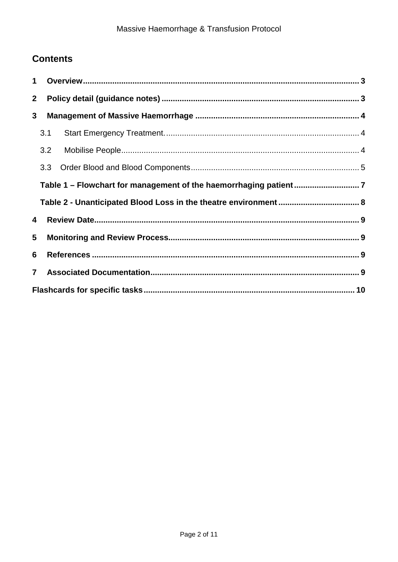## **Contents**

| $\mathbf 1$    |                                                                  |  |  |  |
|----------------|------------------------------------------------------------------|--|--|--|
| $\overline{2}$ |                                                                  |  |  |  |
| 3              |                                                                  |  |  |  |
|                | 3.1                                                              |  |  |  |
|                | 3.2                                                              |  |  |  |
|                | 3.3                                                              |  |  |  |
|                | Table 1 - Flowchart for management of the haemorrhaging patient7 |  |  |  |
|                |                                                                  |  |  |  |
| 4              |                                                                  |  |  |  |
| 5              |                                                                  |  |  |  |
| 6              |                                                                  |  |  |  |
| $\overline{7}$ |                                                                  |  |  |  |
|                |                                                                  |  |  |  |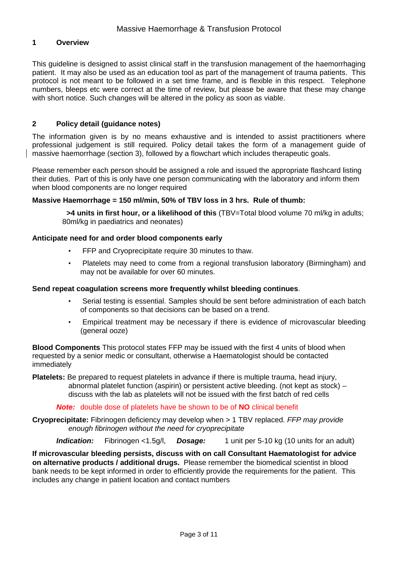#### <span id="page-3-0"></span>**1 Overview**

This guideline is designed to assist clinical staff in the transfusion management of the haemorrhaging patient. It may also be used as an education tool as part of the management of trauma patients. This protocol is not meant to be followed in a set time frame, and is flexible in this respect. Telephone numbers, bleeps etc were correct at the time of review, but please be aware that these may change with short notice. Such changes will be altered in the policy as soon as viable.

#### <span id="page-3-1"></span>**2 Policy detail (guidance notes)**

The information given is by no means exhaustive and is intended to assist practitioners where professional judgement is still required. Policy detail takes the form of a management guide of massive haemorrhage (section 3), followed by a flowchart which includes therapeutic goals.

Please remember each person should be assigned a role and issued the appropriate flashcard listing their duties. Part of this is only have one person communicating with the laboratory and inform them when blood components are no longer required

#### **Massive Haemorrhage = 150 ml/min, 50% of TBV loss in 3 hrs. Rule of thumb:**

 **>4 units in first hour, or a likelihood of this** (TBV=Total blood volume 70 ml/kg in adults; 80ml/kg in paediatrics and neonates)

#### **Anticipate need for and order blood components early**

- FFP and Cryoprecipitate require 30 minutes to thaw.
- Platelets may need to come from a regional transfusion laboratory (Birmingham) and may not be available for over 60 minutes.

#### **Send repeat coagulation screens more frequently whilst bleeding continues**.

- Serial testing is essential. Samples should be sent before administration of each batch of components so that decisions can be based on a trend.
- Empirical treatment may be necessary if there is evidence of microvascular bleeding (general ooze)

**Blood Components** This protocol states FFP may be issued with the first 4 units of blood when requested by a senior medic or consultant, otherwise a Haematologist should be contacted immediately

**Platelets:** Be prepared to request platelets in advance if there is multiple trauma, head injury, abnormal platelet function (aspirin) or persistent active bleeding. (not kept as stock) – discuss with the lab as platelets will not be issued with the first batch of red cells

*Note:* double dose of platelets have be shown to be of **NO** clinical benefit

**Cryoprecipitate:** Fibrinogen deficiency may develop when > 1 TBV replaced. *FFP may provide enough fibrinogen without the need for cryoprecipitate*

*Indication:* Fibrinogen <1.5g/l, *Dosage:* 1 unit per 5-10 kg (10 units for an adult)

**If microvascular bleeding persists, discuss with on call Consultant Haematologist for advice on alternative products / additional drugs.** Please remember the biomedical scientist in blood bank needs to be kept informed in order to efficiently provide the requirements for the patient. This includes any change in patient location and contact numbers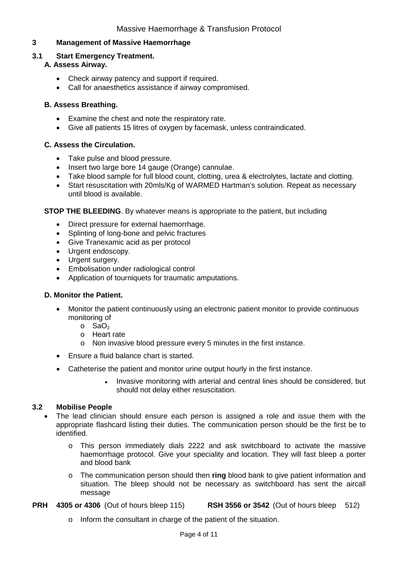#### <span id="page-4-0"></span>**3 Management of Massive Haemorrhage**

#### <span id="page-4-1"></span>**3.1 Start Emergency Treatment.**

#### **A. Assess Airway.**

- Check airway patency and support if required.
- Call for anaesthetics assistance if airway compromised.

#### **B. Assess Breathing.**

- Examine the chest and note the respiratory rate.
- Give all patients 15 litres of oxygen by facemask, unless contraindicated.

#### **C. Assess the Circulation.**

- Take pulse and blood pressure.
- Insert two large bore 14 gauge (Orange) cannulae.
- Take blood sample for full blood count, clotting, urea & electrolytes, lactate and clotting.
- Start resuscitation with 20mls/Kg of WARMED Hartman's solution. Repeat as necessary until blood is available.

**STOP THE BLEEDING**. By whatever means is appropriate to the patient, but including

- Direct pressure for external haemorrhage.
- Splinting of long-bone and pelvic fractures
- Give Tranexamic acid as per protocol
- Urgent endoscopy.
- Urgent surgery.
- Embolisation under radiological control
- Application of tourniquets for traumatic amputations.

#### **D. Monitor the Patient.**

- Monitor the patient continuously using an electronic patient monitor to provide continuous monitoring of
	- $\circ$  SaO<sub>2</sub>
	- o Heart rate
	- o Non invasive blood pressure every 5 minutes in the first instance.
- Ensure a fluid balance chart is started.
- Catheterise the patient and monitor urine output hourly in the first instance.
	- Invasive monitoring with arterial and central lines should be considered, but should not delay either resuscitation.

#### <span id="page-4-2"></span>**3.2 Mobilise People**

- The lead clinician should ensure each person is assigned a role and issue them with the appropriate flashcard listing their duties. The communication person should be the first be to identified.
	- o This person immediately dials 2222 and ask switchboard to activate the massive haemorrhage protocol. Give your speciality and location. They will fast bleep a porter and blood bank
	- o The communication person should then **ring** blood bank to give patient information and situation. The bleep should not be necessary as switchboard has sent the aircall message
- **PRH 4305 or 4306** (Out of hours bleep 115) **RSH 3556 or 3542** (Out of hours bleep 512)
	- o Inform the consultant in charge of the patient of the situation.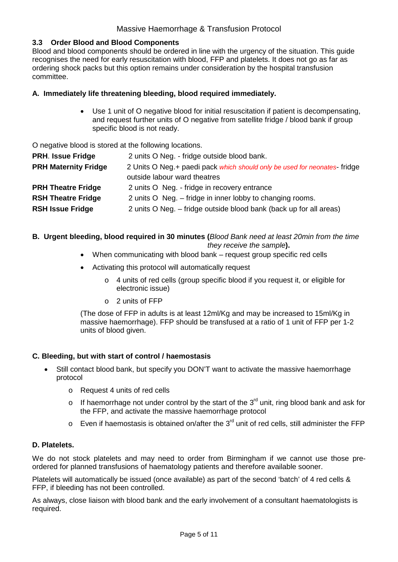#### <span id="page-5-0"></span>**3.3 Order Blood and Blood Components**

Blood and blood components should be ordered in line with the urgency of the situation. This guide recognises the need for early resuscitation with blood, FFP and platelets. It does not go as far as ordering shock packs but this option remains under consideration by the hospital transfusion committee.

#### **A. Immediately life threatening bleeding, blood required immediately.**

• Use 1 unit of O negative blood for initial resuscitation if patient is decompensating, and request further units of O negative from satellite fridge / blood bank if group specific blood is not ready.

O negative blood is stored at the following locations.

| <b>PRH. Issue Fridge</b>    | 2 units O Neg. - fridge outside blood bank.                              |
|-----------------------------|--------------------------------------------------------------------------|
| <b>PRH Maternity Fridge</b> | 2 Units O Neg.+ paedi pack which should only be used for neonates-fridge |
|                             | outside labour ward theatres                                             |
| <b>PRH Theatre Fridge</b>   | 2 units O Neg. - fridge in recovery entrance                             |
| <b>RSH Theatre Fridge</b>   | 2 units O Neg. – fridge in inner lobby to changing rooms.                |
| <b>RSH Issue Fridge</b>     | 2 units O Neg. – fridge outside blood bank (back up for all areas)       |
|                             |                                                                          |

#### **B. Urgent bleeding, blood required in 30 minutes (***Blood Bank need at least 20min from the time they receive the sample***).**

- When communicating with blood bank request group specific red cells
- Activating this protocol will automatically request
	- o 4 units of red cells (group specific blood if you request it, or eligible for electronic issue)
	- $\circ$  2 units of FFP

(The dose of FFP in adults is at least 12ml/Kg and may be increased to 15ml/Kg in massive haemorrhage). FFP should be transfused at a ratio of 1 unit of FFP per 1-2 units of blood given.

#### **C. Bleeding, but with start of control / haemostasis**

- Still contact blood bank, but specify you DON'T want to activate the massive haemorrhage protocol
	- o Request 4 units of red cells
	- $\circ$  If haemorrhage not under control by the start of the 3<sup>rd</sup> unit, ring blood bank and ask for the FFP, and activate the massive haemorrhage protocol
	- $\circ$  Even if haemostasis is obtained on/after the 3<sup>rd</sup> unit of red cells, still administer the FFP

#### **D. Platelets.**

We do not stock platelets and may need to order from Birmingham if we cannot use those preordered for planned transfusions of haematology patients and therefore available sooner.

Platelets will automatically be issued (once available) as part of the second 'batch' of 4 red cells & FFP, if bleeding has not been controlled.

As always, close liaison with blood bank and the early involvement of a consultant haematologists is required.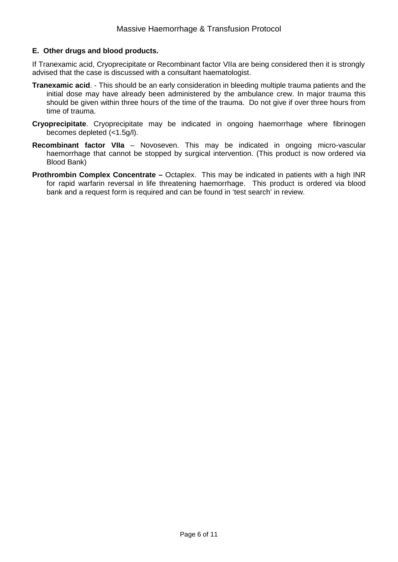#### **E. Other drugs and blood products.**

If Tranexamic acid, Cryoprecipitate or Recombinant factor VIIa are being considered then it is strongly advised that the case is discussed with a consultant haematologist.

- **Tranexamic acid**. This should be an early consideration in bleeding multiple trauma patients and the initial dose may have already been administered by the ambulance crew. In major trauma this should be given within three hours of the time of the trauma. Do not give if over three hours from time of trauma.
- **Cryoprecipitate**. Cryoprecipitate may be indicated in ongoing haemorrhage where fibrinogen becomes depleted (<1.5g/l).
- **Recombinant factor VIIa** Novoseven. This may be indicated in ongoing micro-vascular haemorrhage that cannot be stopped by surgical intervention. (This product is now ordered via Blood Bank)
- **Prothrombin Complex Concentrate –** Octaplex. This may be indicated in patients with a high INR for rapid warfarin reversal in life threatening haemorrhage. This product is ordered via blood bank and a request form is required and can be found in 'test search' in review.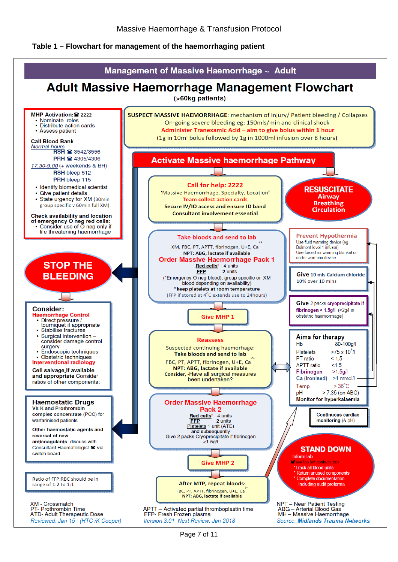#### <span id="page-7-0"></span>**Table 1 – Flowchart for management of the haemorrhaging patient**

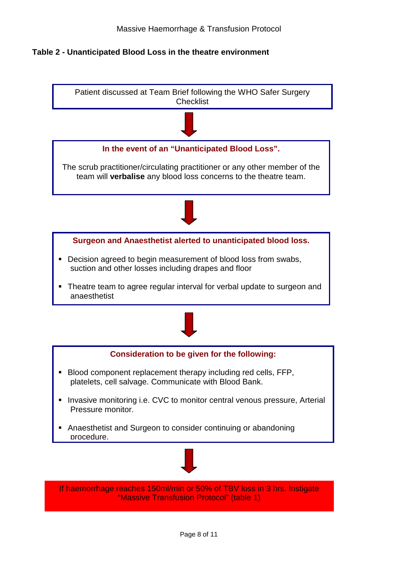#### <span id="page-8-0"></span>**Table 2 - Unanticipated Blood Loss in the theatre environment**



"Massive Transfusion Protocol" (table 1)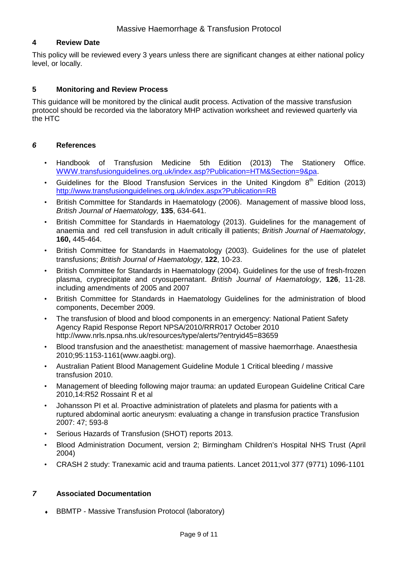#### <span id="page-9-0"></span>**4 Review Date**

This policy will be reviewed every 3 years unless there are significant changes at either national policy level, or locally.

#### <span id="page-9-1"></span>**5 Monitoring and Review Process**

This guidance will be monitored by the clinical audit process. Activation of the massive transfusion protocol should be recorded via the laboratory MHP activation worksheet and reviewed quarterly via the HTC

#### <span id="page-9-2"></span>*6* **References**

- Handbook of Transfusion Medicine 5th Edition (2013) The Stationery Office. [WWW.transfusionguidelines.org.uk/index.asp?Publication=HTM&Section=9&pa.](http://www.transfusionguidelines.org.uk/index.asp?Publication=HTM&Section=9&pa)
- Guidelines for the Blood Transfusion Services in the United Kingdom  $8<sup>th</sup>$  Edition (2013) <http://www.transfusionguidelines.org.uk/index.aspx?Publication=RB>
- British Committee for Standards in Haematology (2006). Management of massive blood loss, *British Journal of Haematology,* **135**, 634-641.
- British Committee for Standards in Haematology (2013). Guidelines for the management of anaemia and red cell transfusion in adult critically ill patients; *British Journal of Haematology*, **160,** 445-464.
- British Committee for Standards in Haematology (2003). Guidelines for the use of platelet transfusions; *British Journal of Haematology*, **122**, 10-23.
- British Committee for Standards in Haematology (2004). Guidelines for the use of fresh-frozen plasma, cryprecipitate and cryosupernatant. *British Journal of Haematology*, **126**, 11-28. including amendments of 2005 and 2007
- British Committee for Standards in Haematology Guidelines for the administration of blood components, December 2009.
- The transfusion of blood and blood components in an emergency: National Patient Safety Agency Rapid Response Report NPSA/2010/RRR017 October 2010 <http://www.nrls.npsa.nhs.uk/resources/type/alerts/?entryid45=83659>
- Blood transfusion and the anaesthetist: management of massive haemorrhage. Anaesthesia 2010;95:1153-1161(www.aagbi.org).
- Australian Patient Blood Management Guideline Module 1 Critical bleeding / massive transfusion 2010.
- Management of bleeding following major trauma: an updated European Guideline Critical Care 2010,14:R52 Rossaint R et al
- Johansson PI et al. Proactive administration of platelets and plasma for patients with a ruptured abdominal aortic aneurysm: evaluating a change in transfusion practice Transfusion 2007: 47; 593-8
- Serious Hazards of Transfusion (SHOT) reports 2013.
- Blood Administration Document, version 2; Birmingham Children's Hospital NHS Trust (April 2004)
- CRASH 2 study: Tranexamic acid and trauma patients. Lancet 2011;vol 377 (9771) 1096-1101

#### <span id="page-9-3"></span>*7* **Associated Documentation**

• BBMTP - Massive Transfusion Protocol (laboratory)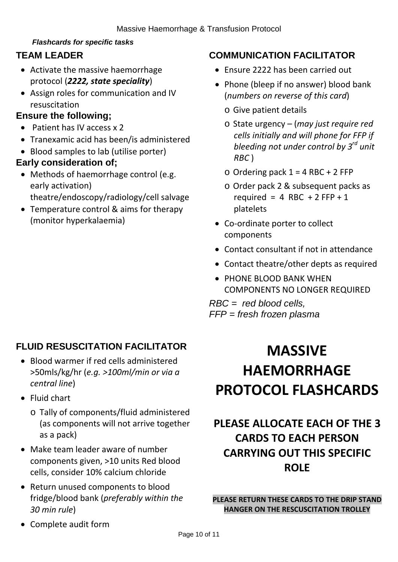## *Flashcards for specific tasks*

## <span id="page-10-0"></span>**TEAM LEADER**

- Activate the massive haemorrhage protocol (*2222, state speciality*)
- Assign roles for communication and IV resuscitation

## **Ensure the following;**

- Patient has IV access x 2
- Tranexamic acid has been/is administered
- Blood samples to lab (utilise porter)

## **Early consideration of;**

- Methods of haemorrhage control (e.g. early activation) theatre/endoscopy/radiology/cell salvage
- Temperature control & aims for therapy (monitor hyperkalaemia)

## **COMMUNICATION FACILITATOR**

- Ensure 2222 has been carried out
- Phone (bleep if no answer) blood bank (*numbers on reverse of this card*)
	- o Give patient details
	- o State urgency (*may just require red cells initially and will phone for FFP if bleeding not under control by 3rd unit RBC* )
	- $\circ$  Ordering pack 1 = 4 RBC + 2 FFP
	- o Order pack 2 & subsequent packs as required = 4 RBC + 2 FFP + 1 platelets
- Co-ordinate porter to collect components
- Contact consultant if not in attendance
- Contact theatre/other depts as required
- PHONE BLOOD BANK WHEN COMPONENTS NO LONGER REQUIRED

*RBC = red blood cells, FFP = fresh frozen plasma*

## **FLUID RESUSCITATION FACILITATOR**

- Blood warmer if red cells administered >50mls/kg/hr (*e.g. >100ml/min or via a central line*)
- Fluid chart
	- o Tally of components/fluid administered (as components will not arrive together as a pack)
- Make team leader aware of number components given, >10 units Red blood cells, consider 10% calcium chloride
- Return unused components to blood fridge/blood bank (*preferably within the 30 min rule*)
- Complete audit form

# **MASSIVE HAEMORRHAGE PROTOCOL FLASHCARDS**

## **PLEASE ALLOCATE EACH OF THE 3 CARDS TO EACH PERSON CARRYING OUT THIS SPECIFIC ROLE**

**PLEASE RETURN THESE CARDS TO THE DRIP STAND HANGER ON THE RESCUSCITATION TROLLEY**